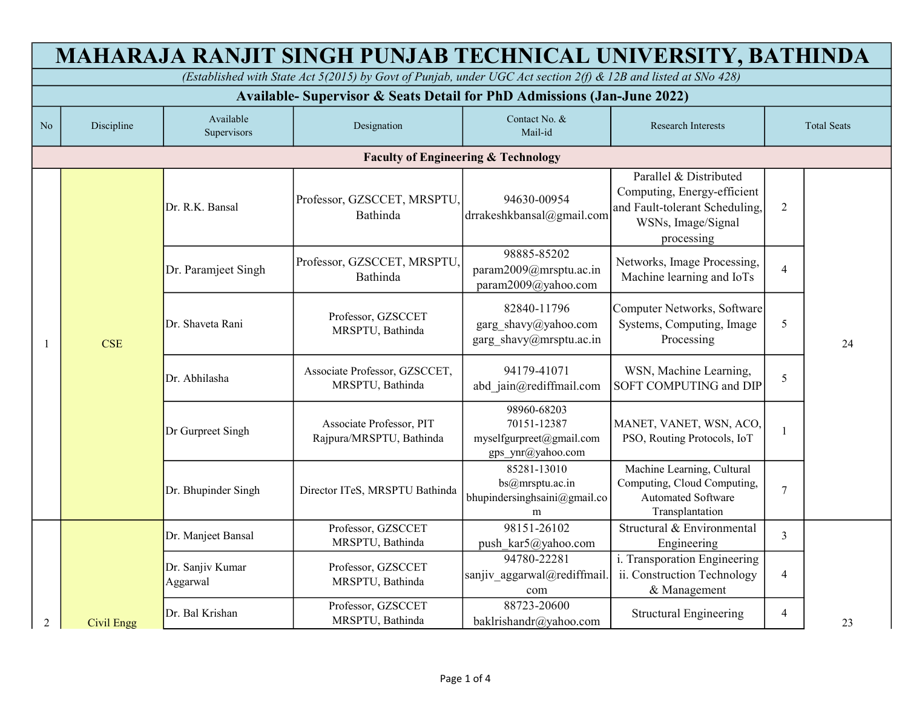| MAHARAJA RANJIT SINGH PUNJAB TECHNICAL UNIVERSITY, BATHINDA                                                    |                                                |                              |                                                      |                                                                             |                                                                                                                             |                    |    |  |  |
|----------------------------------------------------------------------------------------------------------------|------------------------------------------------|------------------------------|------------------------------------------------------|-----------------------------------------------------------------------------|-----------------------------------------------------------------------------------------------------------------------------|--------------------|----|--|--|
| (Established with State Act 5(2015) by Govt of Punjab, under UGC Act section 2(f) & 12B and listed at SNo 428) |                                                |                              |                                                      |                                                                             |                                                                                                                             |                    |    |  |  |
| Available-Supervisor & Seats Detail for PhD Admissions (Jan-June 2022)                                         |                                                |                              |                                                      |                                                                             |                                                                                                                             |                    |    |  |  |
| N <sub>o</sub>                                                                                                 | Discipline                                     | Available<br>Supervisors     | Designation                                          | Contact No. &<br>Mail-id                                                    | <b>Research Interests</b>                                                                                                   | <b>Total Seats</b> |    |  |  |
|                                                                                                                | <b>Faculty of Engineering &amp; Technology</b> |                              |                                                      |                                                                             |                                                                                                                             |                    |    |  |  |
| 1                                                                                                              | <b>CSE</b>                                     | Dr. R.K. Bansal              | Professor, GZSCCET, MRSPTU,<br>Bathinda              | 94630-00954<br>drrakeshkbansal@gmail.com                                    | Parallel & Distributed<br>Computing, Energy-efficient<br>and Fault-tolerant Scheduling,<br>WSNs, Image/Signal<br>processing | $\overline{2}$     |    |  |  |
|                                                                                                                |                                                | Dr. Paramjeet Singh          | Professor, GZSCCET, MRSPTU<br>Bathinda               | 98885-85202<br>param2009@mrsptu.ac.in<br>param2009@yahoo.com                | Networks, Image Processing,<br>Machine learning and IoTs                                                                    | $\overline{4}$     |    |  |  |
|                                                                                                                |                                                | Dr. Shaveta Rani             | Professor, GZSCCET<br>MRSPTU, Bathinda               | 82840-11796<br>garg_shavy@yahoo.com<br>garg shavy@mrsptu.ac.in              | Computer Networks, Software<br>Systems, Computing, Image<br>Processing                                                      | 5                  | 24 |  |  |
|                                                                                                                |                                                | Dr. Abhilasha                | Associate Professor, GZSCCET,<br>MRSPTU, Bathinda    | 94179-41071<br>abd jain@rediffmail.com                                      | WSN, Machine Learning,<br>SOFT COMPUTING and DIP                                                                            | 5                  |    |  |  |
|                                                                                                                |                                                | Dr Gurpreet Singh            | Associate Professor, PIT<br>Rajpura/MRSPTU, Bathinda | 98960-68203<br>70151-12387<br>myselfgurpreet@gmail.com<br>gps_ynr@yahoo.com | MANET, VANET, WSN, ACO,<br>PSO, Routing Protocols, IoT                                                                      | -1                 |    |  |  |
|                                                                                                                |                                                | Dr. Bhupinder Singh          | Director ITeS, MRSPTU Bathinda                       | 85281-13010<br>bs@mrsptu.ac.in<br>bhupindersinghsaini@gmail.co<br>m         | Machine Learning, Cultural<br>Computing, Cloud Computing,<br><b>Automated Software</b><br>Transplantation                   | $\overline{7}$     |    |  |  |
|                                                                                                                |                                                | Dr. Manjeet Bansal           | Professor, GZSCCET<br>MRSPTU, Bathinda               | 98151-26102<br>push kar5@yahoo.com                                          | Structural & Environmental<br>Engineering                                                                                   | 3                  |    |  |  |
|                                                                                                                |                                                | Dr. Sanjiv Kumar<br>Aggarwal | Professor, GZSCCET<br>MRSPTU, Bathinda               | 94780-22281<br>sanjiv aggarwal@rediffmail<br>com                            | i. Transporation Engineering<br>ii. Construction Technology<br>& Management                                                 | $\overline{4}$     |    |  |  |
| $\overline{2}$                                                                                                 | <b>Civil Engg</b>                              | Dr. Bal Krishan              | Professor, GZSCCET<br>MRSPTU, Bathinda               | 88723-20600<br>baklrishandr@yahoo.com                                       | <b>Structural Engineering</b>                                                                                               | $\overline{4}$     | 23 |  |  |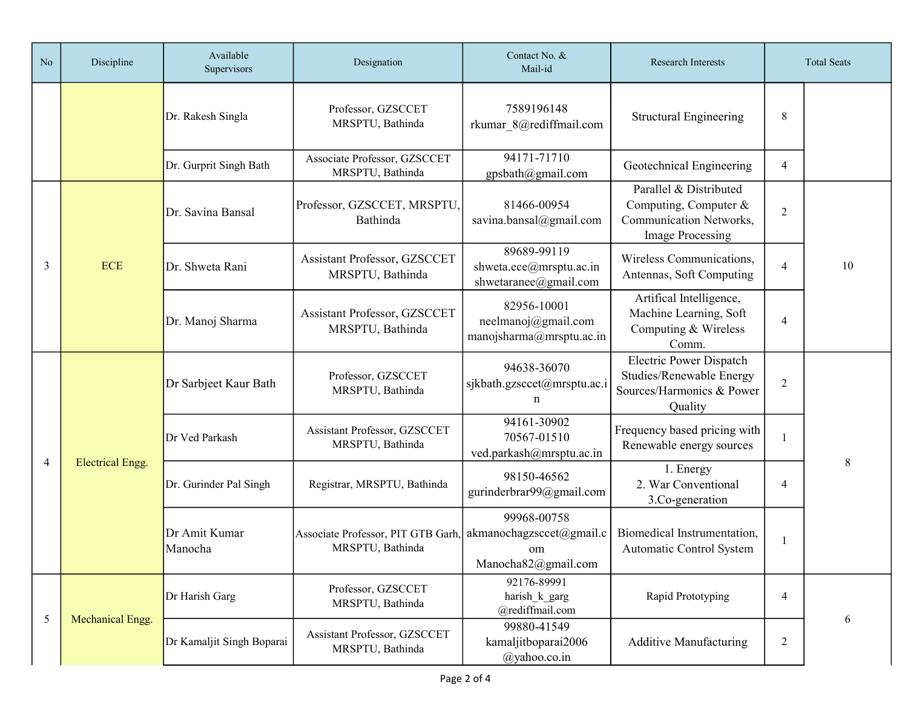| N <sub>o</sub> | Discipline                                                                                                               | Available<br>Supervisors    | Designation                                            | Contact No. &<br>Mail-id                                             | <b>Research Interests</b>                                                                          |                | <b>Total Seats</b> |
|----------------|--------------------------------------------------------------------------------------------------------------------------|-----------------------------|--------------------------------------------------------|----------------------------------------------------------------------|----------------------------------------------------------------------------------------------------|----------------|--------------------|
|                |                                                                                                                          | Dr. Rakesh Singla           | Professor, GZSCCET<br>MRSPTU, Bathinda                 | 7589196148<br>rkumar 8@rediffmail.com                                | <b>Structural Engineering</b>                                                                      | 8              |                    |
|                |                                                                                                                          | Dr. Gurprit Singh Bath      | Associate Professor, GZSCCET<br>MRSPTU, Bathinda       | 94171-71710<br>gpsbath@gmail.com                                     | Geotechnical Engineering                                                                           | 4              |                    |
| 3              | <b>ECE</b>                                                                                                               | Dr. Savina Bansal           | Professor, GZSCCET, MRSPTU,<br>Bathinda                | 81466-00954<br>savina.bansal@gmail.com                               | Parallel & Distributed<br>Computing, Computer &<br>Communication Networks,<br>Image Processing     | $\overline{2}$ |                    |
|                |                                                                                                                          | Dr. Shweta Rani             | Assistant Professor, GZSCCET<br>MRSPTU, Bathinda       | 89689-99119<br>shweta.ece@mrsptu.ac.in<br>shwetaranee@gmail.com      | Wireless Communications,<br>Antennas, Soft Computing                                               | 4              | 10                 |
|                |                                                                                                                          | Dr. Manoj Sharma            | Assistant Professor, GZSCCET<br>MRSPTU, Bathinda       | 82956-10001<br>neelmanoj@gmail.com<br>manojsharma@mrsptu.ac.in       | Artifical Intelligence,<br>Machine Learning, Soft<br>Computing & Wireless<br>Comm.                 | 4              |                    |
| 4              | Dr Sarbjeet Kaur Bath<br>Dr Ved Parkash<br><b>Electrical Engg.</b><br>Dr. Gurinder Pal Singh<br>Dr Amit Kumar<br>Manocha |                             | Professor, GZSCCET<br>MRSPTU, Bathinda                 | 94638-36070<br>sjkbath.gzsccet@mrsptu.ac.i<br>n                      | <b>Electric Power Dispatch</b><br>Studies/Renewable Energy<br>Sources/Harmonics & Power<br>Quality | $\overline{2}$ |                    |
|                |                                                                                                                          |                             | Assistant Professor, GZSCCET<br>MRSPTU, Bathinda       | 94161-30902<br>70567-01510<br>ved.parkash@mrsptu.ac.in               | Frequency based pricing with<br>Renewable energy sources                                           |                |                    |
|                |                                                                                                                          | Registrar, MRSPTU, Bathinda | 98150-46562<br>gurinderbrar99@gmail.com                | 1. Energy<br>2. War Conventional<br>3.Co-generation                  | 4                                                                                                  | 8              |                    |
|                |                                                                                                                          |                             | Associate Professor, PIT GTB Garh,<br>MRSPTU, Bathinda | 99968-00758<br>akmanochagzsccet@gmail.c<br>om<br>Manocha82@gmail.com | Biomedical Instrumentation,<br>Automatic Control System                                            |                |                    |
| 5              |                                                                                                                          | Dr Harish Garg              | Professor, GZSCCET<br>MRSPTU, Bathinda                 | 92176-89991<br>harish k garg<br>@rediffmail.com                      | Rapid Prototyping                                                                                  | 4              |                    |
|                | Mechanical Engg.                                                                                                         | Dr Kamaljit Singh Boparai   | Assistant Professor, GZSCCET<br>MRSPTU, Bathinda       | 99880-41549<br>kamaljitboparai2006<br>@yahoo.co.in                   | <b>Additive Manufacturing</b>                                                                      | $\overline{c}$ | 6                  |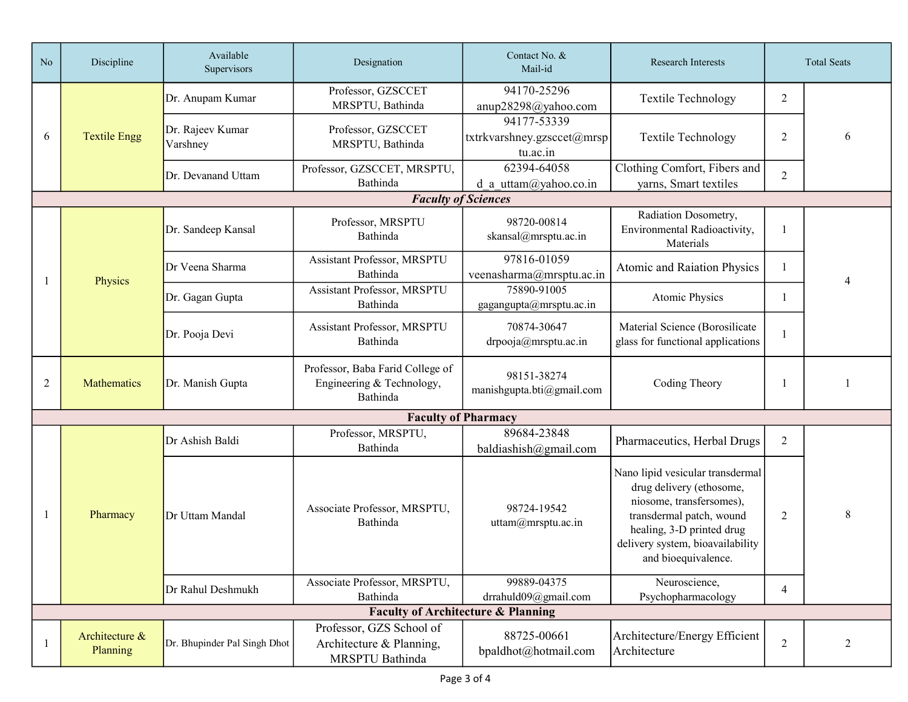| N <sub>o</sub> | Discipline                                    | Available<br>Supervisors     | Designation                                                               | Contact No. &<br>Mail-id                              | <b>Research Interests</b>                                                                                                                                                                                    | <b>Total Seats</b> |   |
|----------------|-----------------------------------------------|------------------------------|---------------------------------------------------------------------------|-------------------------------------------------------|--------------------------------------------------------------------------------------------------------------------------------------------------------------------------------------------------------------|--------------------|---|
|                | <b>Textile Engg</b>                           | Dr. Anupam Kumar             | Professor, GZSCCET<br>MRSPTU, Bathinda                                    | 94170-25296<br>anup28298@yahoo.com                    | <b>Textile Technology</b>                                                                                                                                                                                    | 2                  |   |
| 6              |                                               | Dr. Rajeev Kumar<br>Varshney | Professor, GZSCCET<br>MRSPTU, Bathinda                                    | 94177-53339<br>txtrkvarshney.gzsccet@mrsp<br>tu.ac.in | <b>Textile Technology</b>                                                                                                                                                                                    | 2                  | 6 |
|                |                                               | Dr. Devanand Uttam           | Professor, GZSCCET, MRSPTU,<br>Bathinda                                   | 62394-64058<br>d a uttam@yahoo.co.in                  | Clothing Comfort, Fibers and<br>yarns, Smart textiles                                                                                                                                                        | $\overline{2}$     |   |
|                |                                               |                              | <b>Faculty of Sciences</b>                                                |                                                       |                                                                                                                                                                                                              |                    |   |
|                |                                               | Dr. Sandeep Kansal           | Professor, MRSPTU<br>Bathinda                                             | 98720-00814<br>skansal@mrsptu.ac.in                   | Radiation Dosometry,<br>Environmental Radioactivity,<br>Materials                                                                                                                                            |                    |   |
|                | Physics                                       | Dr Veena Sharma              | Assistant Professor, MRSPTU<br>Bathinda                                   | 97816-01059<br>veenasharma@mrsptu.ac.in               | Atomic and Raiation Physics                                                                                                                                                                                  |                    |   |
|                |                                               | Dr. Gagan Gupta              | <b>Assistant Professor, MRSPTU</b><br>Bathinda                            | 75890-91005<br>gagangupta@mrsptu.ac.in                | Atomic Physics                                                                                                                                                                                               |                    |   |
|                |                                               | Dr. Pooja Devi               | Assistant Professor, MRSPTU<br>Bathinda                                   | 70874-30647<br>drpooja@mrsptu.ac.in                   | Material Science (Borosilicate<br>glass for functional applications                                                                                                                                          |                    |   |
| 2              | Mathematics                                   | Dr. Manish Gupta             | Professor, Baba Farid College of<br>Engineering & Technology,<br>Bathinda | 98151-38274<br>manishgupta.bti@gmail.com              | Coding Theory                                                                                                                                                                                                |                    |   |
|                |                                               |                              | <b>Faculty of Pharmacy</b>                                                |                                                       |                                                                                                                                                                                                              |                    |   |
|                | Pharmacy                                      | Dr Ashish Baldi              | Professor, MRSPTU,<br>Bathinda                                            | 89684-23848<br>baldiashish@gmail.com                  | Pharmaceutics, Herbal Drugs                                                                                                                                                                                  | $\overline{2}$     |   |
|                |                                               | Dr Uttam Mandal              | Associate Professor, MRSPTU,<br>Bathinda                                  | 98724-19542<br>uttam@mrsptu.ac.in                     | Nano lipid vesicular transdermal<br>drug delivery (ethosome,<br>niosome, transfersomes),<br>transdermal patch, wound<br>healing, 3-D printed drug<br>delivery system, bioavailability<br>and bioequivalence. | 2                  | 8 |
|                |                                               | Dr Rahul Deshmukh            | Associate Professor, MRSPTU,<br>Bathinda                                  | 99889-04375<br>drrahuld09@gmail.com                   | Neuroscience,<br>Psychopharmacology                                                                                                                                                                          | 4                  |   |
|                | <b>Faculty of Architecture &amp; Planning</b> |                              |                                                                           |                                                       |                                                                                                                                                                                                              |                    |   |
|                | Architecture &<br>Planning                    | Dr. Bhupinder Pal Singh Dhot | Professor, GZS School of<br>Architecture & Planning,<br>MRSPTU Bathinda   | 88725-00661<br>bpaldhot@hotmail.com                   | Architecture/Energy Efficient<br>Architecture                                                                                                                                                                | $\overline{2}$     | 2 |